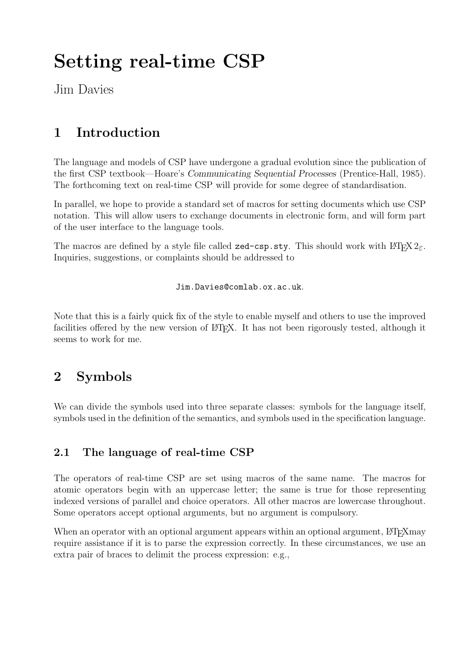# Setting real-time CSP

Jim Davies

# 1 Introduction

The language and models of CSP have undergone a gradual evolution since the publication of the first CSP textbook—Hoare's Communicating Sequential Processes (Prentice-Hall, 1985). The forthcoming text on real-time CSP will provide for some degree of standardisation.

In parallel, we hope to provide a standard set of macros for setting documents which use CSP notation. This will allow users to exchange documents in electronic form, and will form part of the user interface to the language tools.

The macros are defined by a style file called zed-csp.sty. This should work with  $\text{LATEX } 2\varepsilon$ . Inquiries, suggestions, or complaints should be addressed to

Jim.Davies@comlab.ox.ac.uk.

Note that this is a fairly quick fix of the style to enable myself and others to use the improved facilities offered by the new version of LATEX. It has not been rigorously tested, although it seems to work for me.

# 2 Symbols

We can divide the symbols used into three separate classes: symbols for the language itself, symbols used in the definition of the semantics, and symbols used in the specification language.

### 2.1 The language of real-time CSP

The operators of real-time CSP are set using macros of the same name. The macros for atomic operators begin with an uppercase letter; the same is true for those representing indexed versions of parallel and choice operators. All other macros are lowercase throughout. Some operators accept optional arguments, but no argument is compulsory.

When an operator with an optional argument appears within an optional argument, LATEXmay require assistance if it is to parse the expression correctly. In these circumstances, we use an extra pair of braces to delimit the process expression: e.g.,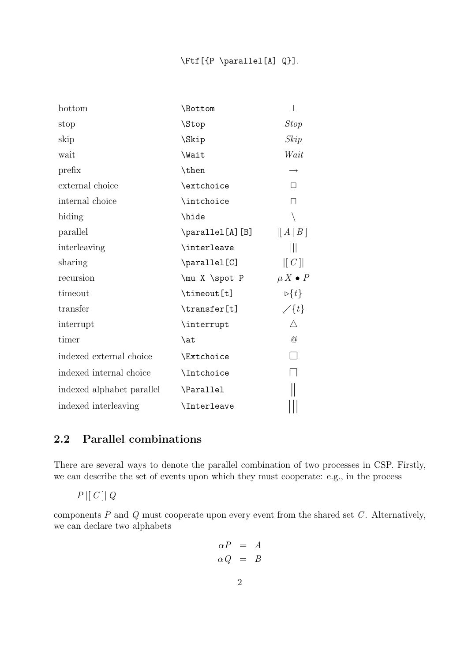| bottom                    | \Bottom           | T                    |
|---------------------------|-------------------|----------------------|
| stop                      | \Stop             | <b>Stop</b>          |
| skip                      | \Skip             | skip                 |
| wait                      | \Wait             | Wait                 |
| prefix                    | \then             | $\rightarrow$        |
| external choice           | \extchoice        | □                    |
| internal choice           | \intchoice        | $\Box$               |
| hiding                    | \hide             |                      |
| parallel                  | \parallel[A][B]   | [[A B]]              |
| interleaving              | \interleave       | Ш                    |
| sharing                   | \parallel[C]      | [C]                  |
| recursion                 | \mu X \spot P     | $\mu X \bullet P$    |
| timeout                   | \timeout[t]       | $\triangleright$ {t} |
| transfer                  | \transfer[t]      | $\swarrow$ {t}       |
| interrupt                 | \interrupt        | Δ                    |
| timer                     | \at               | $\oslash$            |
| indexed external choice   | <b>\Extchoice</b> | $\Box$               |
| indexed internal choice   | \Intchoice        |                      |
| indexed alphabet parallel | \Parallel         |                      |
| indexed interleaving      | \Interleave       |                      |

### 2.2 Parallel combinations

There are several ways to denote the parallel combination of two processes in CSP. Firstly, we can describe the set of events upon which they must cooperate: e.g., in the process

 $P \parallel C \parallel Q$ 

components  $P$  and  $Q$  must cooperate upon every event from the shared set  $C$ . Alternatively, we can declare two alphabets

$$
\begin{array}{rcl}\n\alpha P & = & A \\
\alpha Q & = & B\n\end{array}
$$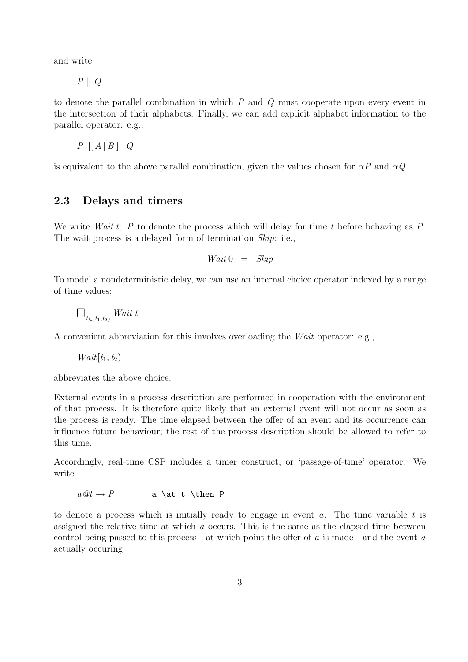and write

 $P \parallel Q$ 

to denote the parallel combination in which  $P$  and  $Q$  must cooperate upon every event in the intersection of their alphabets. Finally, we can add explicit alphabet information to the parallel operator: e.g.,

 $P$   $\vert [A \, | B \, || \, Q$ 

is equivalent to the above parallel combination, given the values chosen for  $\alpha P$  and  $\alpha Q$ .

#### 2.3 Delays and timers

We write *Wait t*; P to denote the process which will delay for time t before behaving as P. The wait process is a delayed form of termination Skip: i.e.,

$$
Wait\,0\quad =\quad\mathit{skip}
$$

To model a nondeterministic delay, we can use an internal choice operator indexed by a range of time values:

 $\bigcap_{t\in[t_1,t_2)} What$ 

A convenient abbreviation for this involves overloading the Wait operator: e.g.,

 $Wait[t_1, t_2)$ 

abbreviates the above choice.

External events in a process description are performed in cooperation with the environment of that process. It is therefore quite likely that an external event will not occur as soon as the process is ready. The time elapsed between the offer of an event and its occurrence can influence future behaviour; the rest of the process description should be allowed to refer to this time.

Accordingly, real-time CSP includes a timer construct, or 'passage-of-time' operator. We write

 $a @t \rightarrow P$  a \at t \then P

to denote a process which is initially ready to engage in event  $a$ . The time variable  $t$  is assigned the relative time at which  $\alpha$  occurs. This is the same as the elapsed time between control being passed to this process—at which point the offer of a is made—and the event a actually occuring.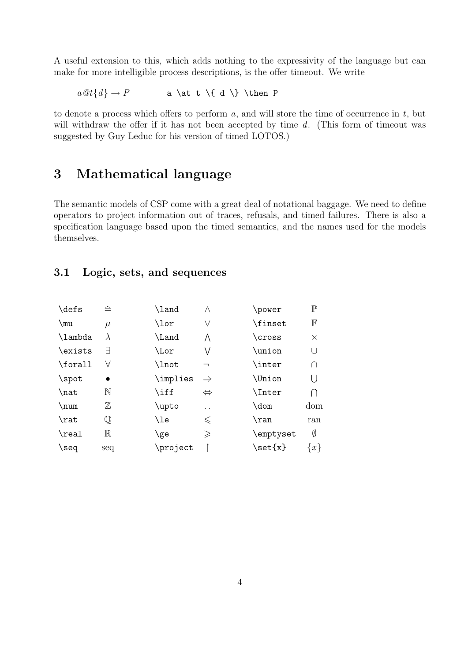A useful extension to this, which adds nothing to the expressivity of the language but can make for more intelligible process descriptions, is the offer timeout. We write

 $a \mathcal{Q}t\{d\} \rightarrow P$  a \at t \{ d \} \then P

to denote a process which offers to perform  $a$ , and will store the time of occurrence in  $t$ , but will withdraw the offer if it has not been accepted by time  $d$ . (This form of timeout was suggested by Guy Leduc for his version of timed LOTOS.)

### 3 Mathematical language

The semantic models of CSP come with a great deal of notational baggage. We need to define operators to project information out of traces, refusals, and timed failures. There is also a specification language based upon the timed semantics, and the names used for the models themselves.

#### 3.1 Logic, sets, and sequences

| \defs                | $\triangleq$ | \land    | Λ                        | \power     | $\mathbb{P}$ |
|----------------------|--------------|----------|--------------------------|------------|--------------|
| $\mu$                | $\mu$        | \lor     | V                        | \finset    | $\mathbb F$  |
| \lambda              | λ            | \Land    | Λ                        | \cross     | $\times$     |
| \exists              | Ε            | \Lor     | V                        | \union     | U            |
| \forall              | А            | \lnot    | $\overline{\phantom{0}}$ | \inter     | ∩            |
| $\sqrt{\text{spot}}$ | $\bullet$    | \implies | $\Rightarrow$            | \Union     | U            |
| \nat                 | $\mathbb N$  | \iff     | $\Leftrightarrow$        | \Inter     |              |
| \num                 | $\mathbb Z$  | \upto    | . .                      | $\lambda$  | dom          |
| \rat                 | $\mathbb Q$  | \le      | $\leqslant$              | $\chi$ ran | ran          |
| \real                | $\mathbb R$  | \ge      | $\geqslant$              | \emptyset  | Ø            |
| $\searrow$           | seq          | \project |                          | \set{x}    | $\{x\}$      |
|                      |              |          |                          |            |              |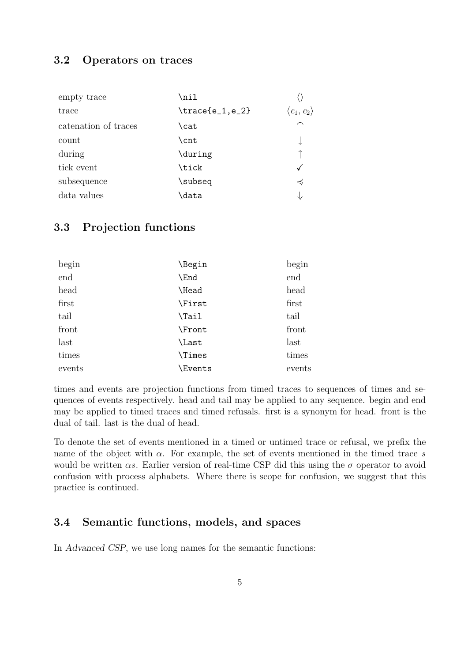#### 3.2 Operators on traces

| empty trace          | \nil              |                            |
|----------------------|-------------------|----------------------------|
| trace                | $\frac{e_1, e_2}$ | $\langle e_1, e_2 \rangle$ |
| catenation of traces | \cat              | $\curvearrowright$         |
| count                | \cnt              |                            |
| during               | \during           |                            |
| tick event           | \tick             |                            |
| subsequence          | \subseq           | $\preccurlyeq$             |
| data values          | \data             | ⇓                          |

#### 3.3 Projection functions

| begin  | \Begin         | begin  |
|--------|----------------|--------|
| end    | \End           | end    |
| head   | Head           | head   |
| first  | \First         | first  |
| tail   | \Tail          | tail   |
| front  | \Front         | front  |
| last   | Last           | last   |
| times  | \Times         | times  |
| events | <b>\Events</b> | events |

times and events are projection functions from timed traces to sequences of times and sequences of events respectively. head and tail may be applied to any sequence. begin and end may be applied to timed traces and timed refusals. first is a synonym for head. front is the dual of tail. last is the dual of head.

To denote the set of events mentioned in a timed or untimed trace or refusal, we prefix the name of the object with  $\alpha$ . For example, the set of events mentioned in the timed trace s would be written  $\alpha s$ . Earlier version of real-time CSP did this using the  $\sigma$  operator to avoid confusion with process alphabets. Where there is scope for confusion, we suggest that this practice is continued.

#### 3.4 Semantic functions, models, and spaces

In Advanced CSP, we use long names for the semantic functions: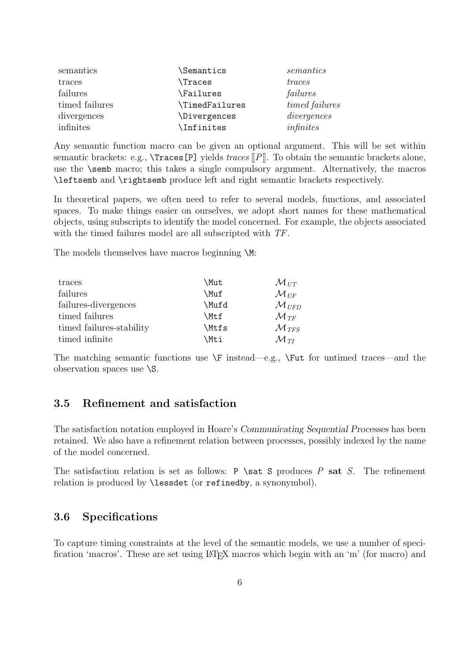| semantics      | Semantics                        | semantics             |
|----------------|----------------------------------|-----------------------|
| traces         | \Traces                          | traces                |
| failures       | \Failures                        | failures              |
| timed failures | \TimedFailures                   | <i>timed failures</i> |
| divergences    | <i><u><b>Nivergences</b></u></i> | divergences           |
| infinites      | \Infinites                       | infinites             |

Any semantic function macro can be given an optional argument. This will be set within semantic brackets: e.g.,  $\text{Traces}[P]$  yields traces  $\llbracket P \rrbracket$ . To obtain the semantic brackets alone, use the \semb macro; this takes a single compulsory argument. Alternatively, the macros \leftsemb and \rightsemb produce left and right semantic brackets respectively.

In theoretical papers, we often need to refer to several models, functions, and associated spaces. To make things easier on ourselves, we adopt short names for these mathematical objects, using subscripts to identify the model concerned. For example, the objects associated with the timed failures model are all subscripted with  $TF$ .

The models themselves have macros beginning  $M$ :

| traces                   | \Mut  | ${\cal M}_{UT}$              |
|--------------------------|-------|------------------------------|
| failures                 | \Muf  | $\mathcal{M}_{\mathit{IIF}}$ |
| failures-divergences     | \Mufd | $\mathcal{M}_{UFD}$          |
| timed failures           | \Mtf  | $\mathcal{M}_{TF}$           |
| timed failures-stability | \Mtfs | $\mathcal{M}_{TFS}$          |
| timed infinite           | \Mti  | $\mathcal{M}_{TI}$           |

The matching semantic functions use  $\F$  instead—e.g.,  $\F$ ut for untimed traces—and the observation spaces use \S.

#### 3.5 Refinement and satisfaction

The satisfaction notation employed in Hoare's Communicating Sequential Processes has been retained. We also have a refinement relation between processes, possibly indexed by the name of the model concerned.

The satisfaction relation is set as follows: P  $\s$ zat S produces P sat S. The refinement relation is produced by \lessdet (or refinedby, a synonymbol).

#### 3.6 Specifications

To capture timing constraints at the level of the semantic models, we use a number of specification 'macros'. These are set using LAT<sub>EX</sub> macros which begin with an 'm' (for macro) and